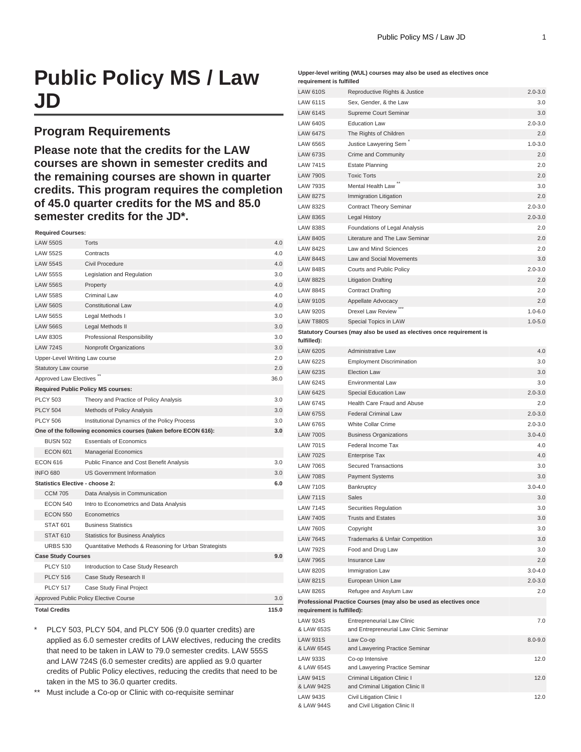# **Public Policy MS / Law JD**

### **Program Requirements**

**Please note that the credits for the LAW courses are shown in semester credits and the remaining courses are shown in quarter credits. This program requires the completion of 45.0 quarter credits for the MS and 85.0 semester credits for the JD\*.**

#### **Required Courses:**

| <b>LAW 550S</b>                        | Torts                                                           | 4.0  |  |  |
|----------------------------------------|-----------------------------------------------------------------|------|--|--|
| <b>LAW 552S</b>                        | Contracts                                                       | 4.0  |  |  |
| <b>LAW 554S</b>                        | Civil Procedure                                                 | 4.0  |  |  |
| <b>LAW 555S</b>                        | Legislation and Regulation                                      | 3.0  |  |  |
| <b>LAW 556S</b>                        | Property                                                        | 4.0  |  |  |
| <b>LAW 558S</b>                        | Criminal Law                                                    | 4.0  |  |  |
| <b>LAW 560S</b>                        | <b>Constitutional Law</b>                                       | 4.0  |  |  |
| <b>LAW 565S</b>                        | Legal Methods I                                                 | 3.0  |  |  |
| <b>LAW 566S</b>                        | Legal Methods II                                                | 3.0  |  |  |
| <b>LAW 830S</b>                        | Professional Responsibility                                     | 3.0  |  |  |
| <b>LAW 724S</b>                        | Nonprofit Organizations                                         | 3.0  |  |  |
| Upper-Level Writing Law course         |                                                                 | 2.0  |  |  |
| <b>Statutory Law course</b>            |                                                                 | 2.0  |  |  |
| Approved Law Electives                 |                                                                 | 36.0 |  |  |
|                                        | <b>Required Public Policy MS courses:</b>                       |      |  |  |
| <b>PLCY 503</b>                        | Theory and Practice of Policy Analysis                          | 3.0  |  |  |
| <b>PLCY 504</b>                        | 3.0                                                             |      |  |  |
| <b>PLCY 506</b>                        | Institutional Dynamics of the Policy Process                    |      |  |  |
|                                        | One of the following economics courses (taken before ECON 616): | 3.0  |  |  |
| <b>BUSN 502</b>                        | <b>Essentials of Economics</b>                                  |      |  |  |
| <b>ECON 601</b>                        | <b>Managerial Economics</b>                                     |      |  |  |
| <b>ECON 616</b>                        | Public Finance and Cost Benefit Analysis                        | 3.0  |  |  |
| <b>INFO 680</b>                        | <b>US Government Information</b>                                | 3.0  |  |  |
| Statistics Elective - choose 2:        | 6.0                                                             |      |  |  |
| <b>CCM 705</b>                         | Data Analysis in Communication                                  |      |  |  |
| <b>ECON 540</b>                        | Intro to Econometrics and Data Analysis                         |      |  |  |
| <b>ECON 550</b>                        | Econometrics                                                    |      |  |  |
| <b>STAT 601</b>                        | <b>Business Statistics</b>                                      |      |  |  |
| <b>STAT 610</b>                        | <b>Statistics for Business Analytics</b>                        |      |  |  |
| <b>URBS 530</b>                        | Quantitative Methods & Reasoning for Urban Strategists          |      |  |  |
| <b>Case Study Courses</b>              |                                                                 | 9.0  |  |  |
| <b>PLCY 510</b>                        | Introduction to Case Study Research                             |      |  |  |
| <b>PLCY 516</b>                        | Case Study Research II                                          |      |  |  |
| <b>PLCY 517</b>                        | Case Study Final Project                                        |      |  |  |
| Approved Public Policy Elective Course |                                                                 |      |  |  |
| <b>Total Credits</b>                   |                                                                 |      |  |  |

\* PLCY 503, PLCY 504, and PLCY 506 (9.0 quarter credits) are applied as 6.0 semester credits of LAW electives, reducing the credits that need to be taken in LAW to 79.0 semester credits. LAW 555S and LAW 724S (6.0 semester credits) are applied as 9.0 quarter credits of Public Policy electives, reducing the credits that need to be taken in the MS to 36.0 quarter credits.

\*\* Must include a Co-op or Clinic with co-requisite seminar

#### **Upper-level writing (WUL) courses may also be used as electives once requirement is fulfilled**

| <b>LAW 610S</b>               | Reproductive Rights & Justice                                               | $2.0 - 3.0$ |
|-------------------------------|-----------------------------------------------------------------------------|-------------|
| <b>LAW 611S</b>               | Sex, Gender, & the Law                                                      | 3.0         |
| <b>LAW 614S</b>               | Supreme Court Seminar                                                       | 3.0         |
| <b>LAW 640S</b>               | <b>Education Law</b>                                                        | $2.0 - 3.0$ |
| <b>LAW 647S</b>               | The Rights of Children                                                      | 2.0         |
| <b>LAW 656S</b>               | Justice Lawyering Sem                                                       | $1.0 - 3.0$ |
| <b>LAW 673S</b>               | Crime and Community                                                         | 2.0         |
| <b>LAW 741S</b>               | <b>Estate Planning</b>                                                      | 2.0         |
| <b>LAW 790S</b>               | <b>Toxic Torts</b>                                                          | 2.0         |
| <b>LAW 793S</b>               | Mental Health Law                                                           | 3.0         |
| <b>LAW 827S</b>               | Immigration Litigation                                                      | 2.0         |
| <b>LAW 832S</b>               | <b>Contract Theory Seminar</b>                                              | $2.0 - 3.0$ |
| <b>LAW 836S</b>               | Legal History                                                               | $2.0 - 3.0$ |
| <b>LAW 838S</b>               | Foundations of Legal Analysis                                               | 2.0         |
| <b>LAW 840S</b>               | Literature and The Law Seminar                                              | 2.0         |
| <b>LAW 842S</b>               | Law and Mind Sciences                                                       | 2.0         |
| <b>LAW 844S</b>               | Law and Social Movements                                                    | 3.0         |
| <b>LAW 848S</b>               | Courts and Public Policy                                                    | $2.0 - 3.0$ |
| <b>LAW 882S</b>               | <b>Litigation Drafting</b>                                                  | 2.0         |
| <b>LAW 884S</b>               | <b>Contract Drafting</b>                                                    | 2.0         |
| <b>LAW 910S</b>               | Appellate Advocacy                                                          | 2.0         |
| <b>LAW 920S</b>               | Drexel Law Review                                                           | $1.0 - 6.0$ |
| <b>LAW T880S</b>              | Special Topics in LAW                                                       | $1.0 - 5.0$ |
|                               | Statutory Courses (may also be used as electives once requirement is        |             |
| fulfilled):                   |                                                                             |             |
| <b>LAW 620S</b>               | Administrative Law                                                          | 4.0         |
| <b>LAW 622S</b>               | <b>Employment Discrimination</b>                                            | 3.0         |
| <b>LAW 623S</b>               | <b>Election Law</b>                                                         | 3.0         |
| <b>LAW 624S</b>               | Environmental Law                                                           | 3.0         |
| <b>LAW 642S</b>               | Special Education Law                                                       | $2.0 - 3.0$ |
| <b>LAW 674S</b>               | Health Care Fraud and Abuse                                                 | 2.0         |
| <b>LAW 675S</b>               | <b>Federal Criminal Law</b>                                                 | $2.0 - 3.0$ |
| <b>LAW 676S</b>               | White Collar Crime                                                          | $2.0 - 3.0$ |
| <b>LAW 700S</b>               | <b>Business Organizations</b>                                               | $3.0 - 4.0$ |
| <b>LAW 701S</b>               | Federal Income Tax                                                          | 4.0         |
| <b>LAW 702S</b>               | <b>Enterprise Tax</b>                                                       | 4.0         |
| <b>LAW 706S</b>               | <b>Secured Transactions</b>                                                 | 3.0         |
| <b>LAW 708S</b>               | <b>Payment Systems</b>                                                      | 3.0         |
| <b>LAW 710S</b>               | Bankruptcy                                                                  | $3.0 - 4.0$ |
| <b>LAW 711S</b>               | Sales                                                                       | 3.0         |
| <b>LAW 714S</b>               | Securities Regulation                                                       | 3.0         |
| <b>LAW 740S</b>               | <b>Trusts and Estates</b>                                                   | 3.0         |
| <b>LAW 760S</b>               | Copyright                                                                   | 3.0         |
| <b>LAW 764S</b>               | Trademarks & Unfair Competition                                             | 3.0         |
| <b>LAW 792S</b>               | Food and Drug Law                                                           | 3.0         |
| <b>LAW 796S</b>               | Insurance Law                                                               | 2.0         |
| <b>LAW 820S</b>               | Immigration Law                                                             | $3.0 - 4.0$ |
| <b>LAW 821S</b>               | European Union Law                                                          | $2.0 - 3.0$ |
| <b>LAW 826S</b>               | Refugee and Asylum Law                                                      | 2.0         |
|                               | Professional Practice Courses (may also be used as electives once           |             |
| requirement is fulfilled):    |                                                                             |             |
| <b>LAW 924S</b><br>& LAW 653S | <b>Entrepreneurial Law Clinic</b><br>and Entrepreneurial Law Clinic Seminar | 7.0         |
| <b>LAW 931S</b><br>& LAW 654S | Law Co-op<br>and Lawyering Practice Seminar                                 | $8.0 - 9.0$ |
| <b>LAW 933S</b><br>& LAW 654S | Co-op Intensive<br>and Lawyering Practice Seminar                           | 12.0        |
| <b>LAW 941S</b><br>& LAW 942S | Criminal Litigation Clinic I<br>and Criminal Litigation Clinic II           | 12.0        |
| <b>LAW 943S</b><br>& LAW 944S | Civil Litigation Clinic I<br>and Civil Litigation Clinic II                 | 12.0        |